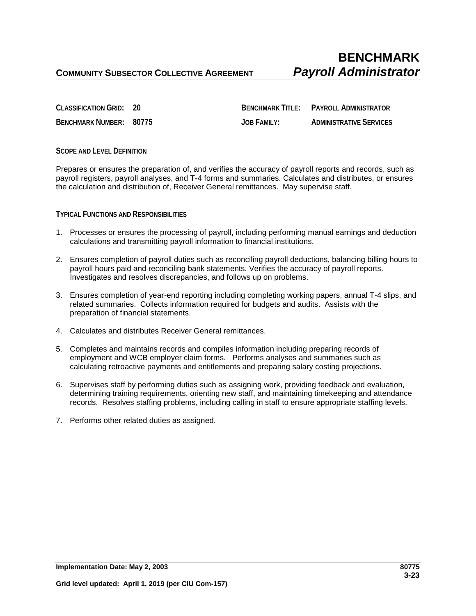**CLASSIFICATION GRID: 20 BENCHMARK TITLE: PAYROLL ADMINISTRATOR BENCHMARK NUMBER: 80775 JOB FAMILY: ADMINISTRATIVE SERVICES**

## **SCOPE AND LEVEL DEFINITION**

Prepares or ensures the preparation of, and verifies the accuracy of payroll reports and records, such as payroll registers, payroll analyses, and T-4 forms and summaries. Calculates and distributes, or ensures the calculation and distribution of, Receiver General remittances. May supervise staff.

## **TYPICAL FUNCTIONS AND RESPONSIBILITIES**

- 1. Processes or ensures the processing of payroll, including performing manual earnings and deduction calculations and transmitting payroll information to financial institutions.
- 2. Ensures completion of payroll duties such as reconciling payroll deductions, balancing billing hours to payroll hours paid and reconciling bank statements. Verifies the accuracy of payroll reports. Investigates and resolves discrepancies, and follows up on problems.
- 3. Ensures completion of year-end reporting including completing working papers, annual T-4 slips, and related summaries. Collects information required for budgets and audits. Assists with the preparation of financial statements.
- 4. Calculates and distributes Receiver General remittances.
- 5. Completes and maintains records and compiles information including preparing records of employment and WCB employer claim forms. Performs analyses and summaries such as calculating retroactive payments and entitlements and preparing salary costing projections.
- 6. Supervises staff by performing duties such as assigning work, providing feedback and evaluation, determining training requirements, orienting new staff, and maintaining timekeeping and attendance records. Resolves staffing problems, including calling in staff to ensure appropriate staffing levels.
- 7. Performs other related duties as assigned.